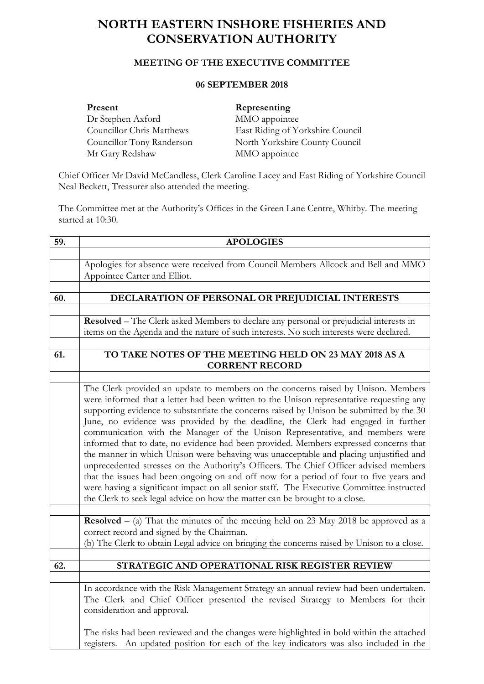## **NORTH EASTERN INSHORE FISHERIES AND CONSERVATION AUTHORITY**

## **MEETING OF THE EXECUTIVE COMMITTEE**

## **06 SEPTEMBER 2018**

| Present                   | Representing                     |
|---------------------------|----------------------------------|
| Dr Stephen Axford         | MMO appointee                    |
| Councillor Chris Matthews | East Riding of Yorkshire Council |
| Councillor Tony Randerson | North Yorkshire County Council   |
| Mr Gary Redshaw           | MMO appointee                    |

Chief Officer Mr David McCandless, Clerk Caroline Lacey and East Riding of Yorkshire Council Neal Beckett, Treasurer also attended the meeting.

The Committee met at the Authority's Offices in the Green Lane Centre, Whitby. The meeting started at 10:30.

| 59. | <b>APOLOGIES</b>                                                                              |  |
|-----|-----------------------------------------------------------------------------------------------|--|
|     |                                                                                               |  |
|     | Apologies for absence were received from Council Members Allcock and Bell and MMO             |  |
|     | Appointee Carter and Elliot.                                                                  |  |
|     |                                                                                               |  |
| 60. | DECLARATION OF PERSONAL OR PREJUDICIAL INTERESTS                                              |  |
|     |                                                                                               |  |
|     | <b>Resolved</b> – The Clerk asked Members to declare any personal or prejudicial interests in |  |
|     | items on the Agenda and the nature of such interests. No such interests were declared.        |  |
|     |                                                                                               |  |
| 61. | TO TAKE NOTES OF THE MEETING HELD ON 23 MAY 2018 AS A<br><b>CORRENT RECORD</b>                |  |
|     |                                                                                               |  |
|     | The Clerk provided an update to members on the concerns raised by Unison. Members             |  |
|     | were informed that a letter had been written to the Unison representative requesting any      |  |
|     | supporting evidence to substantiate the concerns raised by Unison be submitted by the 30      |  |
|     |                                                                                               |  |
|     | June, no evidence was provided by the deadline, the Clerk had engaged in further              |  |
|     | communication with the Manager of the Unison Representative, and members were                 |  |
|     | informed that to date, no evidence had been provided. Members expressed concerns that         |  |
|     | the manner in which Unison were behaving was unacceptable and placing unjustified and         |  |
|     | unprecedented stresses on the Authority's Officers. The Chief Officer advised members         |  |
|     | that the issues had been ongoing on and off now for a period of four to five years and        |  |
|     | were having a significant impact on all senior staff. The Executive Committee instructed      |  |
|     | the Clerk to seek legal advice on how the matter can be brought to a close.                   |  |
|     | <b>Resolved</b> – (a) That the minutes of the meeting held on 23 May 2018 be approved as a    |  |
|     | correct record and signed by the Chairman.                                                    |  |
|     | (b) The Clerk to obtain Legal advice on bringing the concerns raised by Unison to a close.    |  |
|     |                                                                                               |  |
| 62. | STRATEGIC AND OPERATIONAL RISK REGISTER REVIEW                                                |  |
|     |                                                                                               |  |
|     | In accordance with the Risk Management Strategy an annual review had been undertaken.         |  |
|     | The Clerk and Chief Officer presented the revised Strategy to Members for their               |  |
|     | consideration and approval.                                                                   |  |
|     |                                                                                               |  |
|     | The risks had been reviewed and the changes were highlighted in bold within the attached      |  |
|     | registers. An updated position for each of the key indicators was also included in the        |  |
|     |                                                                                               |  |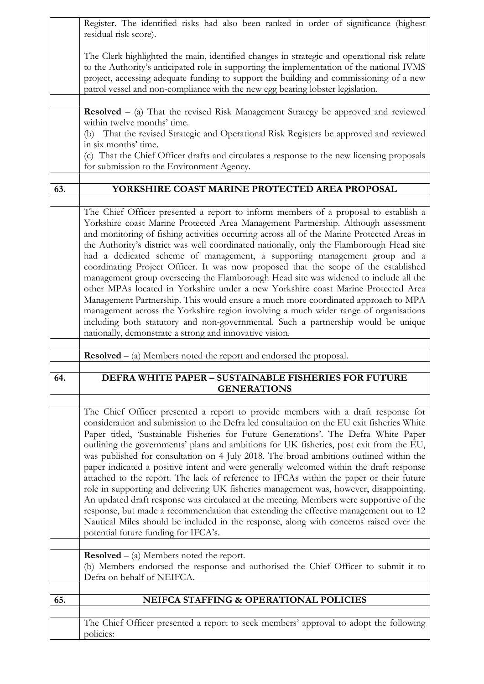|     | Register. The identified risks had also been ranked in order of significance (highest<br>residual risk score).                                                                                                                                                                                                                                                                                                                                                                                                                                                                                                                                                                                                                                                                                                                                                                                                                                                                                                                                                   |
|-----|------------------------------------------------------------------------------------------------------------------------------------------------------------------------------------------------------------------------------------------------------------------------------------------------------------------------------------------------------------------------------------------------------------------------------------------------------------------------------------------------------------------------------------------------------------------------------------------------------------------------------------------------------------------------------------------------------------------------------------------------------------------------------------------------------------------------------------------------------------------------------------------------------------------------------------------------------------------------------------------------------------------------------------------------------------------|
|     | The Clerk highlighted the main, identified changes in strategic and operational risk relate<br>to the Authority's anticipated role in supporting the implementation of the national IVMS<br>project, accessing adequate funding to support the building and commissioning of a new<br>patrol vessel and non-compliance with the new egg bearing lobster legislation.                                                                                                                                                                                                                                                                                                                                                                                                                                                                                                                                                                                                                                                                                             |
|     | <b>Resolved</b> $-$ (a) That the revised Risk Management Strategy be approved and reviewed<br>within twelve months' time.                                                                                                                                                                                                                                                                                                                                                                                                                                                                                                                                                                                                                                                                                                                                                                                                                                                                                                                                        |
|     | (b) That the revised Strategic and Operational Risk Registers be approved and reviewed<br>in six months' time.                                                                                                                                                                                                                                                                                                                                                                                                                                                                                                                                                                                                                                                                                                                                                                                                                                                                                                                                                   |
|     | (c) That the Chief Officer drafts and circulates a response to the new licensing proposals<br>for submission to the Environment Agency.                                                                                                                                                                                                                                                                                                                                                                                                                                                                                                                                                                                                                                                                                                                                                                                                                                                                                                                          |
| 63. | YORKSHIRE COAST MARINE PROTECTED AREA PROPOSAL                                                                                                                                                                                                                                                                                                                                                                                                                                                                                                                                                                                                                                                                                                                                                                                                                                                                                                                                                                                                                   |
|     | The Chief Officer presented a report to inform members of a proposal to establish a<br>Yorkshire coast Marine Protected Area Management Partnership. Although assessment<br>and monitoring of fishing activities occurring across all of the Marine Protected Areas in<br>the Authority's district was well coordinated nationally, only the Flamborough Head site<br>had a dedicated scheme of management, a supporting management group and a<br>coordinating Project Officer. It was now proposed that the scope of the established<br>management group overseeing the Flamborough Head site was widened to include all the<br>other MPAs located in Yorkshire under a new Yorkshire coast Marine Protected Area<br>Management Partnership. This would ensure a much more coordinated approach to MPA<br>management across the Yorkshire region involving a much wider range of organisations<br>including both statutory and non-governmental. Such a partnership would be unique<br>nationally, demonstrate a strong and innovative vision.                 |
|     | $\textbf{Resolved} - (a)$ Members noted the report and endorsed the proposal.                                                                                                                                                                                                                                                                                                                                                                                                                                                                                                                                                                                                                                                                                                                                                                                                                                                                                                                                                                                    |
| 64. | DEFRA WHITE PAPER - SUSTAINABLE FISHERIES FOR FUTURE                                                                                                                                                                                                                                                                                                                                                                                                                                                                                                                                                                                                                                                                                                                                                                                                                                                                                                                                                                                                             |
|     | <b>GENERATIONS</b>                                                                                                                                                                                                                                                                                                                                                                                                                                                                                                                                                                                                                                                                                                                                                                                                                                                                                                                                                                                                                                               |
|     | The Chief Officer presented a report to provide members with a draft response for<br>consideration and submission to the Defra led consultation on the EU exit fisheries White<br>Paper titled, 'Sustainable Fisheries for Future Generations'. The Defra White Paper<br>outlining the governments' plans and ambitions for UK fisheries, post exit from the EU,<br>was published for consultation on 4 July 2018. The broad ambitions outlined within the<br>paper indicated a positive intent and were generally welcomed within the draft response<br>attached to the report. The lack of reference to IFCAs within the paper or their future<br>role in supporting and delivering UK fisheries management was, however, disappointing.<br>An updated draft response was circulated at the meeting. Members were supportive of the<br>response, but made a recommendation that extending the effective management out to 12<br>Nautical Miles should be included in the response, along with concerns raised over the<br>potential future funding for IFCA's. |
|     | <b>Resolved</b> $-$ (a) Members noted the report.<br>(b) Members endorsed the response and authorised the Chief Officer to submit it to<br>Defra on behalf of NEIFCA.                                                                                                                                                                                                                                                                                                                                                                                                                                                                                                                                                                                                                                                                                                                                                                                                                                                                                            |
| 65. | <b>NEIFCA STAFFING &amp; OPERATIONAL POLICIES</b>                                                                                                                                                                                                                                                                                                                                                                                                                                                                                                                                                                                                                                                                                                                                                                                                                                                                                                                                                                                                                |
|     | The Chief Officer presented a report to seek members' approval to adopt the following<br>policies:                                                                                                                                                                                                                                                                                                                                                                                                                                                                                                                                                                                                                                                                                                                                                                                                                                                                                                                                                               |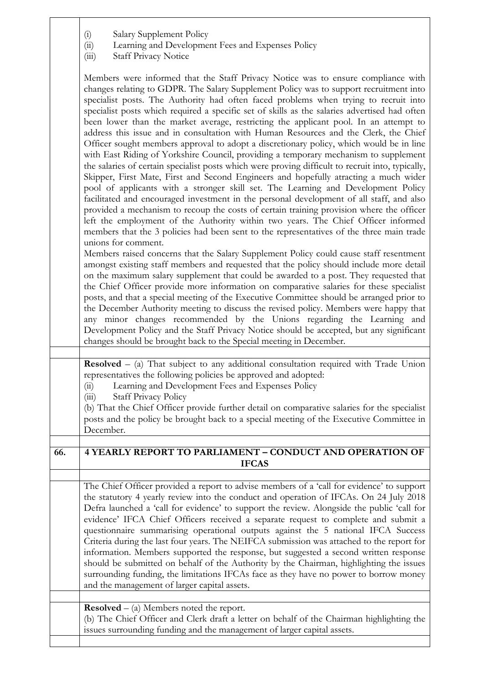| $\binom{1}{k}$ | Salary Supplement Policy |
|----------------|--------------------------|
|                |                          |

- (ii) Learning and Development Fees and Expenses Policy
- (iii) Staff Privacy Notice

Members were informed that the Staff Privacy Notice was to ensure compliance with changes relating to GDPR. The Salary Supplement Policy was to support recruitment into specialist posts. The Authority had often faced problems when trying to recruit into specialist posts which required a specific set of skills as the salaries advertised had often been lower than the market average, restricting the applicant pool. In an attempt to address this issue and in consultation with Human Resources and the Clerk, the Chief Officer sought members approval to adopt a discretionary policy, which would be in line with East Riding of Yorkshire Council, providing a temporary mechanism to supplement the salaries of certain specialist posts which were proving difficult to recruit into, typically, Skipper, First Mate, First and Second Engineers and hopefully atracting a much wider pool of applicants with a stronger skill set. The Learning and Development Policy facilitated and encouraged investment in the personal development of all staff, and also provided a mechanism to recoup the costs of certain training provision where the officer left the employment of the Authority within two years. The Chief Officer informed members that the 3 policies had been sent to the representatives of the three main trade unions for comment.

Members raised concerns that the Salary Supplement Policy could cause staff resentment amongst existing staff members and requested that the policy should include more detail on the maximum salary supplement that could be awarded to a post. They requested that the Chief Officer provide more information on comparative salaries for these specialist posts, and that a special meeting of the Executive Committee should be arranged prior to the December Authority meeting to discuss the revised policy. Members were happy that any minor changes recommended by the Unions regarding the Learning and Development Policy and the Staff Privacy Notice should be accepted, but any significant changes should be brought back to the Special meeting in December.

**Resolved** – (a) That subject to any additional consultation required with Trade Union representatives the following policies be approved and adopted:

(ii) Learning and Development Fees and Expenses Policy

(iii) Staff Privacy Policy

(b) That the Chief Officer provide further detail on comparative salaries for the specialist posts and the policy be brought back to a special meeting of the Executive Committee in December.

## **66. 4 YEARLY REPORT TO PARLIAMENT – CONDUCT AND OPERATION OF IFCAS**

The Chief Officer provided a report to advise members of a 'call for evidence' to support the statutory 4 yearly review into the conduct and operation of IFCAs. On 24 July 2018 Defra launched a 'call for evidence' to support the review. Alongside the public 'call for evidence' IFCA Chief Officers received a separate request to complete and submit a questionnaire summarising operational outputs against the 5 national IFCA Success Criteria during the last four years. The NEIFCA submission was attached to the report for information. Members supported the response, but suggested a second written response should be submitted on behalf of the Authority by the Chairman, highlighting the issues surrounding funding, the limitations IFCAs face as they have no power to borrow money and the management of larger capital assets.

**Resolved** – (a) Members noted the report.

(b) The Chief Officer and Clerk draft a letter on behalf of the Chairman highlighting the issues surrounding funding and the management of larger capital assets.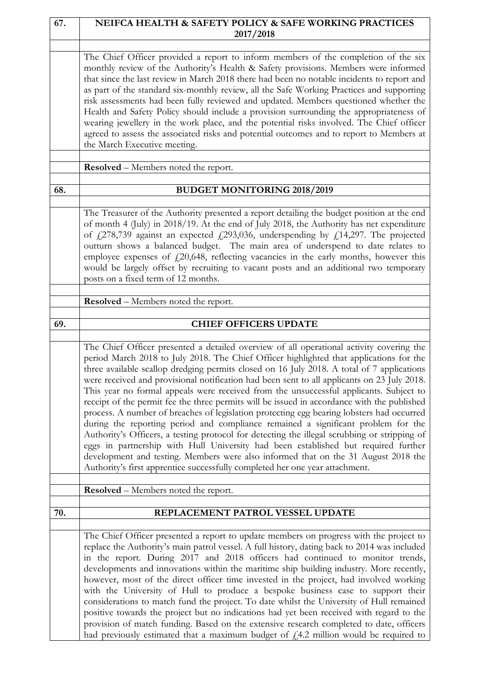| 67. | NEIFCA HEALTH & SAFETY POLICY & SAFE WORKING PRACTICES<br>2017/2018                                                                                                                                                                                                                                                                                                                                                                                                                                                                                                                                                                                                                                                                                                                                                                                                                                                                                                                                                                                                                                                     |
|-----|-------------------------------------------------------------------------------------------------------------------------------------------------------------------------------------------------------------------------------------------------------------------------------------------------------------------------------------------------------------------------------------------------------------------------------------------------------------------------------------------------------------------------------------------------------------------------------------------------------------------------------------------------------------------------------------------------------------------------------------------------------------------------------------------------------------------------------------------------------------------------------------------------------------------------------------------------------------------------------------------------------------------------------------------------------------------------------------------------------------------------|
|     | The Chief Officer provided a report to inform members of the completion of the six<br>monthly review of the Authority's Health & Safety provisions. Members were informed<br>that since the last review in March 2018 there had been no notable incidents to report and<br>as part of the standard six-monthly review, all the Safe Working Practices and supporting<br>risk assessments had been fully reviewed and updated. Members questioned whether the<br>Health and Safety Policy should include a provision surrounding the appropriateness of<br>wearing jewellery in the work place, and the potential risks involved. The Chief officer<br>agreed to assess the associated risks and potential outcomes and to report to Members at<br>the March Executive meeting.                                                                                                                                                                                                                                                                                                                                          |
|     | <b>Resolved</b> – Members noted the report.                                                                                                                                                                                                                                                                                                                                                                                                                                                                                                                                                                                                                                                                                                                                                                                                                                                                                                                                                                                                                                                                             |
| 68. | <b>BUDGET MONITORING 2018/2019</b>                                                                                                                                                                                                                                                                                                                                                                                                                                                                                                                                                                                                                                                                                                                                                                                                                                                                                                                                                                                                                                                                                      |
|     | The Treasurer of the Authority presented a report detailing the budget position at the end<br>of month 4 (July) in 2018/19. At the end of July 2018, the Authority has net expenditure<br>of $\frac{1}{278,739}$ against an expected $\frac{1}{293,036}$ , underspending by $\frac{1}{214,297}$ . The projected<br>outturn shows a balanced budget. The main area of underspend to date relates to<br>employee expenses of $f(20,648)$ , reflecting vacancies in the early months, however this<br>would be largely offset by recruiting to vacant posts and an additional two temporary<br>posts on a fixed term of 12 months.                                                                                                                                                                                                                                                                                                                                                                                                                                                                                         |
|     | Resolved - Members noted the report.                                                                                                                                                                                                                                                                                                                                                                                                                                                                                                                                                                                                                                                                                                                                                                                                                                                                                                                                                                                                                                                                                    |
| 69. | <b>CHIEF OFFICERS UPDATE</b>                                                                                                                                                                                                                                                                                                                                                                                                                                                                                                                                                                                                                                                                                                                                                                                                                                                                                                                                                                                                                                                                                            |
|     | The Chief Officer presented a detailed overview of all operational activity covering the<br>period March 2018 to July 2018. The Chief Officer highlighted that applications for the<br>three available scallop dredging permits closed on 16 July 2018. A total of 7 applications<br>were received and provisional notification had been sent to all applicants on 23 July 2018.<br>This year no formal appeals were received from the unsuccessful applicants. Subject to<br>receipt of the permit fee the three permits will be issued in accordance with the published<br>process. A number of breaches of legislation protecting egg bearing lobsters had occurred<br>during the reporting period and compliance remained a significant problem for the<br>Authority's Officers, a testing protocol for detecting the illegal scrubbing or stripping of<br>eggs in partnership with Hull University had been established but required further<br>development and testing. Members were also informed that on the 31 August 2018 the<br>Authority's first apprentice successfully completed her one year attachment. |
|     | <b>Resolved</b> – Members noted the report.                                                                                                                                                                                                                                                                                                                                                                                                                                                                                                                                                                                                                                                                                                                                                                                                                                                                                                                                                                                                                                                                             |
| 70. | REPLACEMENT PATROL VESSEL UPDATE                                                                                                                                                                                                                                                                                                                                                                                                                                                                                                                                                                                                                                                                                                                                                                                                                                                                                                                                                                                                                                                                                        |
|     | The Chief Officer presented a report to update members on progress with the project to<br>replace the Authority's main patrol vessel. A full history, dating back to 2014 was included<br>in the report. During 2017 and 2018 officers had continued to monitor trends,<br>developments and innovations within the maritime ship building industry. More recently,<br>however, most of the direct officer time invested in the project, had involved working<br>with the University of Hull to produce a bespoke business case to support their<br>considerations to match fund the project. To date whilst the University of Hull remained<br>positive towards the project but no indications had yet been received with regard to the<br>provision of match funding. Based on the extensive research completed to date, officers<br>had previously estimated that a maximum budget of $f14.2$ million would be required to                                                                                                                                                                                            |